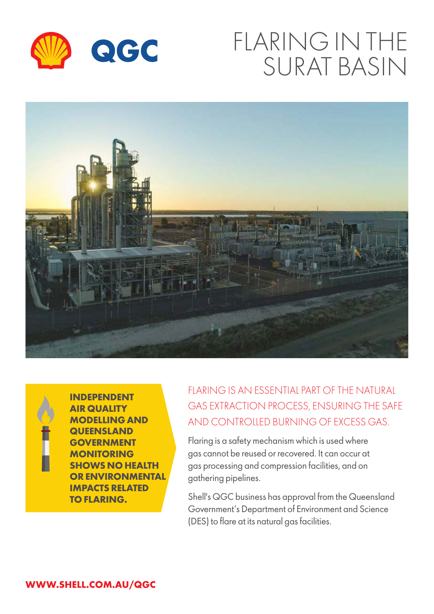

# FLARING IN THE SURAT BASIN





**INDEPENDENT AIR QUALITY MODELLING AND QUEENSLAND GOVERNMENT MONITORING SHOWS NO HEALTH OR ENVIRONMENTAL IMPACTS RELATED TO FLARING.**

## FLARING IS AN ESSENTIAL PART OF THE NATURAL GAS EXTRACTION PROCESS, ENSURING THE SAFE AND CONTROLLED BURNING OF EXCESS GAS.

Flaring is a safety mechanism which is used where gas cannot be reused or recovered. It can occur at gas processing and compression facilities, and on gathering pipelines.

Shell's QGC business has approval from the Queensland Government's Department of Environment and Science (DES) to flare at its natural gas facilities.